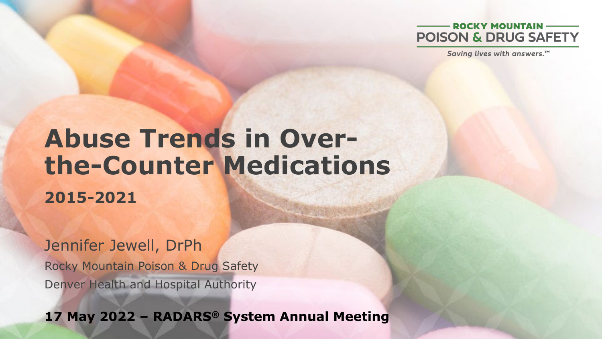

Saving lives with answers.™

# **Abuse Trends in Overthe-Counter Medications**

**2015-2021**

Jennifer Jewell, DrPh Rocky Mountain Poison & Drug Safety Denver Health and Hospital Authority

**17 May 2022 – RADARS® System Annual Meeting**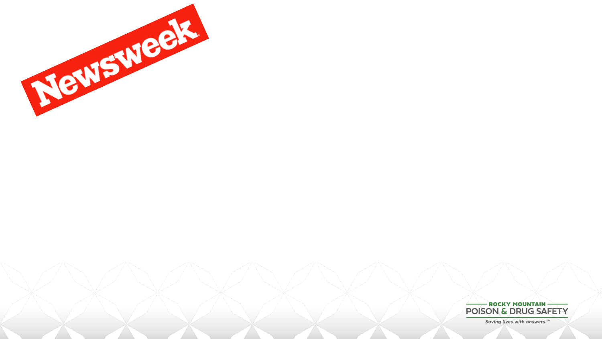

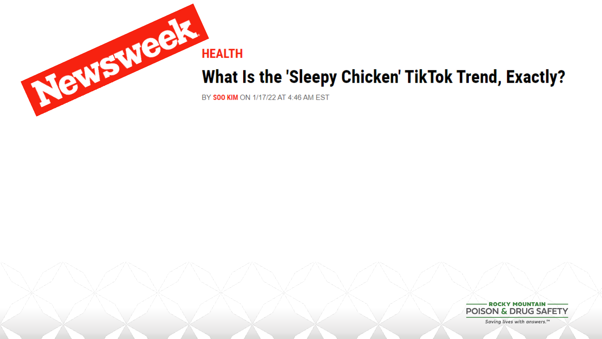

### What Is the 'Sleepy Chicken' TikTok Trend, Exactly?

BY SOO KIM ON 1/17/22 AT 4:46 AM EST

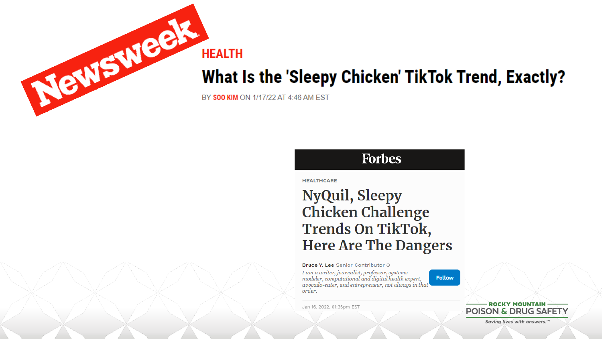

### **What Is the 'Sleepy Chicken' TikTok Trend, Exactly?**

BY SOO KIM ON 1/17/22 AT 4:46 AM EST

#### **Forbes**

**HEALTHCARE** 

Jan 16, 2022, 01:36pm EST

### **NyQuil, Sleepy Chicken Challenge** Trends On TikTok, **Here Are The Dangers**

Bruce Y. Lee Senior Contributor @ I am a writer, journalist, professor, systems modeler, computational and digital health expert, avocado-eater, and entrepreneur, not always in that order.

**Follow** 

**ROCKY MOUNTAIN POISON & DRUG SAFETY**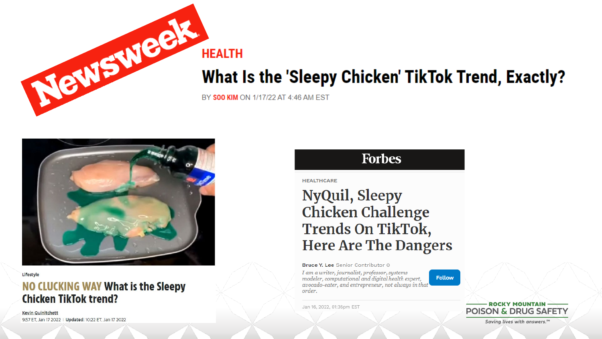

### What Is the 'Sleepy Chicken' TikTok Trend, Exactly?

BY SOO KIM ON 1/17/22 AT 4:46 AM EST



#### Lifestyle

#### NO CLUCKING WAY What is the Sleepy **Chicken TikTok trend?**

**Kevin Quinitchett** 9:57 ET, Jan 17 2022 | Updated: 10:22 ET, Jan 17 2022

#### **Forbes**

**HEALTHCARE** 

Jan 16, 2022, 01:36pm EST

### **NyQuil, Sleepy Chicken Challenge Trends On TikTok, Here Are The Dangers**

Bruce Y. Lee Senior Contributor © I am a writer, journalist, professor, systems modeler, computational and digital health expert. avocado-eater, and entrepreneur, not always in that order.

**Follow** 

**ROCKY MOUNTAIN POISON & DRUG SAFETY**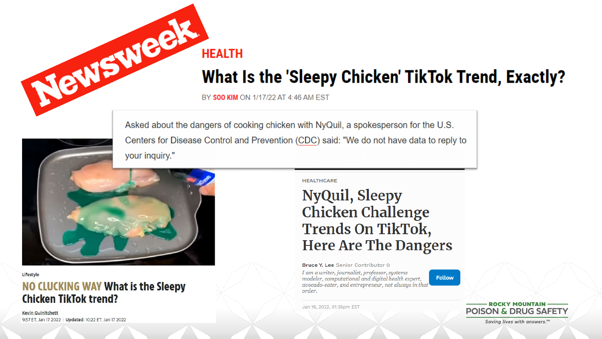

BY SOO KIM ON 1/17/22 AT 4:46 AM EST

**HEALTH** 

Asked about the dangers of cooking chicken with NyQuil, a spokesperson for the U.S. Centers for Disease Control and Prevention (CDC) said: "We do not have data to reply to your inquiry."



Lifestyle

#### NO CLUCKING WAY What is the Sleepy **Chicken TikTok trend?**

**Kevin Quinitchett** 9:57 ET, Jan 17 2022 | Updated: 10:22 ET, Jan 17 2022 **HEALTHCARE** 

Jan 16, 2022, 01:36pm EST

### **NyQuil, Sleepy Chicken Challenge Trends On TikTok, Here Are The Dangers**

Bruce Y. Lee Senior Contributor © I am a writer, journalist, professor, systems modeler, computational and digital health expert, avocado-eater, and entrepreneur, not always in that order.

**Follow** 

**ROCKY MOUNTAIN POISON & DRUG SAFETY**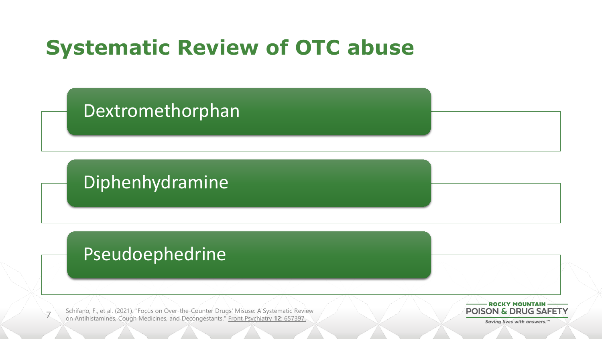## **Systematic Review of OTC abuse**

Dextromethorphan

Diphenhydramine

### Pseudoephedrine

7

Schifano, F., et al. (2021). "Focus on Over-the-Counter Drugs' Misuse: A Systematic Review on Antihistamines, Cough Medicines, and Decongestants." Front Psychiatry **12**: 657397.

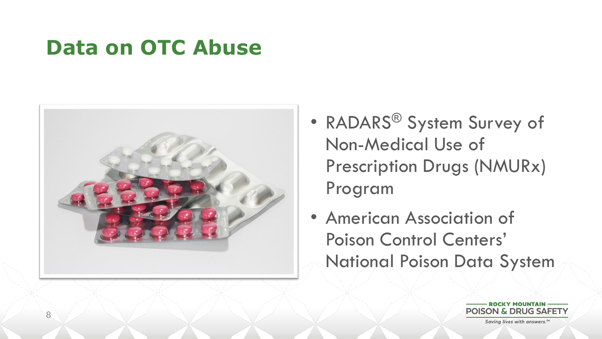### **Data on OTC Abuse**



- RADARS<sup>®</sup> System Survey of Non-Medical Use of Prescription Drugs (NMURx) Program
- American Association of Poison Control Centers' National Poison Data System

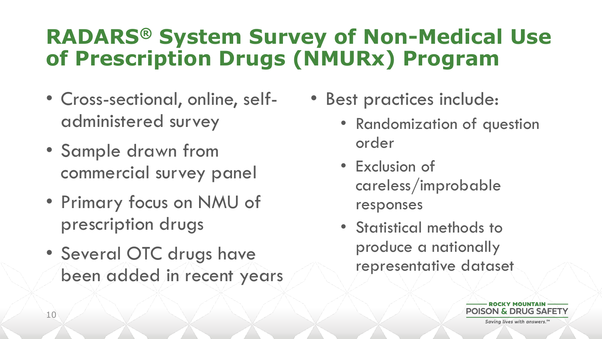### **RADARS® System Survey of Non-Medical Use of Prescription Drugs (NMURx) Program**

- Cross-sectional, online, selfadministered survey
- Sample drawn from commercial survey panel
- Primary focus on NMU of prescription drugs
- Several OTC drugs have been added in recent years
- Best practices include:
	- Randomization of question order
	- Exclusion of careless/improbable responses
	- Statistical methods to produce a nationally representative dataset

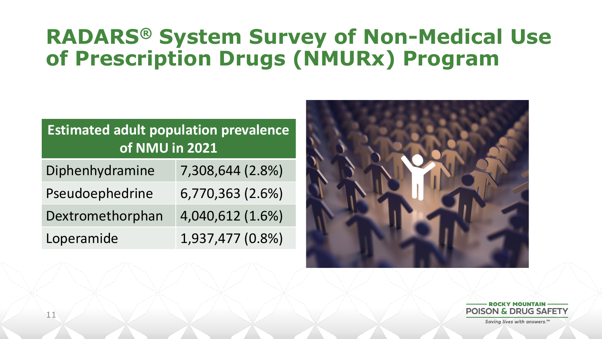### **RADARS® System Survey of Non-Medical Use of Prescription Drugs (NMURx) Program**

| <b>Estimated adult population prevalence</b><br>of NMU in 2021 |                  |
|----------------------------------------------------------------|------------------|
| Diphenhydramine                                                | 7,308,644 (2.8%) |
| Pseudoephedrine                                                | 6,770,363 (2.6%) |
| Dextromethorphan                                               | 4,040,612 (1.6%) |
| Loperamide                                                     | 1,937,477 (0.8%) |



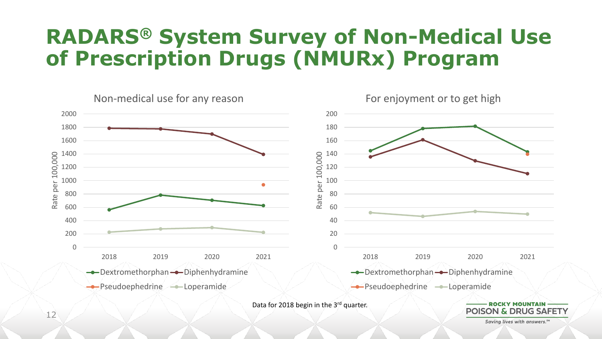### **RADARS® System Survey of Non-Medical Use of Prescription Drugs (NMURx) Program**

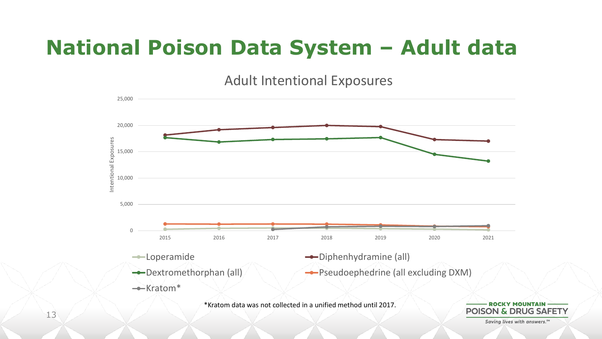## **National Poison Data System – Adult data**

Adult Intentional Exposures



\*Kratom data was not collected in a unified method until 2017.

**POISON & DRUG SAFET**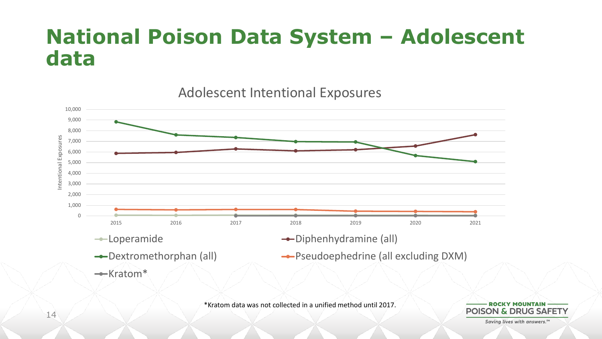### **National Poison Data System – Adolescent data**

10,000 9,000 8,000 ntentional Exposures Intentional Exposures 7,000 6,000 5,000 4,000 3,000 2,000 1,000 0 2015 2016 2017 2018 2019 2020 2021 —Loperamide →Diphenhydramine (all) **→**Dextromethorphan (all) **→**Pseudoephedrine (all excluding DXM) Kratom\*

Adolescent Intentional Exposures

\*Kratom data was not collected in a unified method until 2017.

ROCKY MOUNTAIN **POISON & DRUG SAFET**